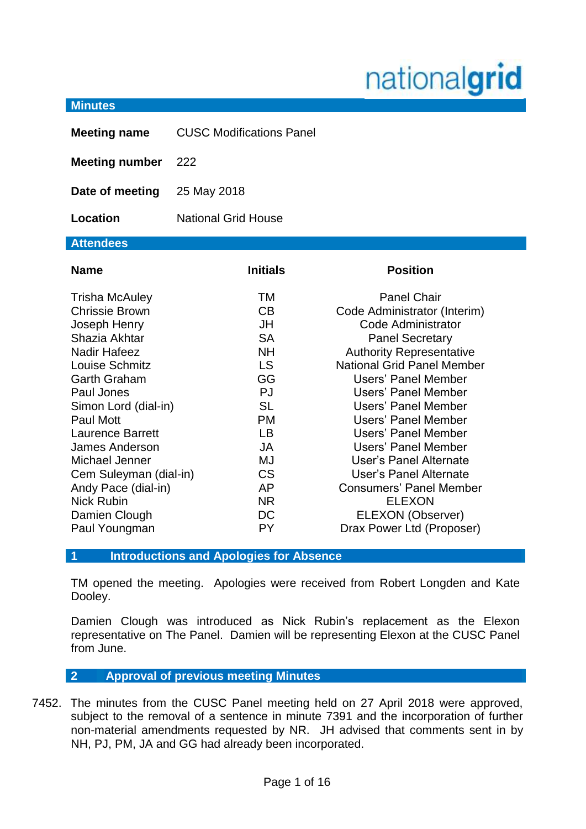# nationalgrid

#### **Minutes**

| <b>Meeting name</b>                                                                                                                                                                                                                                                                                                                                                                     | <b>CUSC Modifications Panel</b>                                                                                                                                                |                                                                                                                                                                                                                                                                                                                                                                                                                                                                                             |
|-----------------------------------------------------------------------------------------------------------------------------------------------------------------------------------------------------------------------------------------------------------------------------------------------------------------------------------------------------------------------------------------|--------------------------------------------------------------------------------------------------------------------------------------------------------------------------------|---------------------------------------------------------------------------------------------------------------------------------------------------------------------------------------------------------------------------------------------------------------------------------------------------------------------------------------------------------------------------------------------------------------------------------------------------------------------------------------------|
| <b>Meeting number</b>                                                                                                                                                                                                                                                                                                                                                                   | 222                                                                                                                                                                            |                                                                                                                                                                                                                                                                                                                                                                                                                                                                                             |
| Date of meeting                                                                                                                                                                                                                                                                                                                                                                         | 25 May 2018                                                                                                                                                                    |                                                                                                                                                                                                                                                                                                                                                                                                                                                                                             |
| Location                                                                                                                                                                                                                                                                                                                                                                                | <b>National Grid House</b>                                                                                                                                                     |                                                                                                                                                                                                                                                                                                                                                                                                                                                                                             |
| <b>Attendees</b>                                                                                                                                                                                                                                                                                                                                                                        |                                                                                                                                                                                |                                                                                                                                                                                                                                                                                                                                                                                                                                                                                             |
| <b>Name</b>                                                                                                                                                                                                                                                                                                                                                                             | <b>Initials</b>                                                                                                                                                                | <b>Position</b>                                                                                                                                                                                                                                                                                                                                                                                                                                                                             |
| <b>Trisha McAuley</b><br><b>Chrissie Brown</b><br>Joseph Henry<br>Shazia Akhtar<br><b>Nadir Hafeez</b><br>Louise Schmitz<br><b>Garth Graham</b><br>Paul Jones<br>Simon Lord (dial-in)<br><b>Paul Mott</b><br><b>Laurence Barrett</b><br><b>James Anderson</b><br>Michael Jenner<br>Cem Suleyman (dial-in)<br>Andy Pace (dial-in)<br><b>Nick Rubin</b><br>Damien Clough<br>Paul Youngman | TM<br>CB<br>JH<br><b>SA</b><br><b>NH</b><br><b>LS</b><br>GG<br>PJ<br><b>SL</b><br><b>PM</b><br><b>LB</b><br><b>JA</b><br>MJ<br><b>CS</b><br>AP<br><b>NR</b><br>DC<br><b>PY</b> | <b>Panel Chair</b><br>Code Administrator (Interim)<br>Code Administrator<br><b>Panel Secretary</b><br><b>Authority Representative</b><br><b>National Grid Panel Member</b><br><b>Users' Panel Member</b><br>Users' Panel Member<br>Users' Panel Member<br>Users' Panel Member<br>Users' Panel Member<br>Users' Panel Member<br>User's Panel Alternate<br>User's Panel Alternate<br><b>Consumers' Panel Member</b><br><b>ELEXON</b><br><b>ELEXON (Observer)</b><br>Drax Power Ltd (Proposer) |

#### **1 Introductions and Apologies for Absence**

TM opened the meeting. Apologies were received from Robert Longden and Kate Dooley.

Damien Clough was introduced as Nick Rubin's replacement as the Elexon representative on The Panel. Damien will be representing Elexon at the CUSC Panel from June.

- **2 Approval of previous meeting Minutes**
- 7452. The minutes from the CUSC Panel meeting held on 27 April 2018 were approved, subject to the removal of a sentence in minute 7391 and the incorporation of further non-material amendments requested by NR. JH advised that comments sent in by NH, PJ, PM, JA and GG had already been incorporated.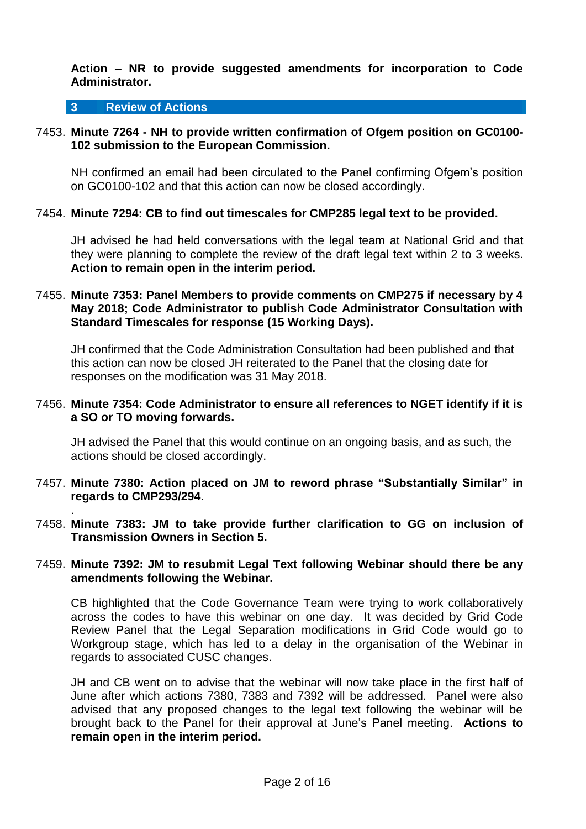#### **Action – NR to provide suggested amendments for incorporation to Code Administrator.**

#### **3 Review of Actions**

.

## 7453. **Minute 7264 - NH to provide written confirmation of Ofgem position on GC0100- 102 submission to the European Commission.**

NH confirmed an email had been circulated to the Panel confirming Ofgem's position on GC0100-102 and that this action can now be closed accordingly.

#### 7454. **Minute 7294: CB to find out timescales for CMP285 legal text to be provided.**

JH advised he had held conversations with the legal team at National Grid and that they were planning to complete the review of the draft legal text within 2 to 3 weeks. **Action to remain open in the interim period.**

## 7455. **Minute 7353: Panel Members to provide comments on CMP275 if necessary by 4 May 2018; Code Administrator to publish Code Administrator Consultation with Standard Timescales for response (15 Working Days).**

JH confirmed that the Code Administration Consultation had been published and that this action can now be closed JH reiterated to the Panel that the closing date for responses on the modification was 31 May 2018.

#### 7456. **Minute 7354: Code Administrator to ensure all references to NGET identify if it is a SO or TO moving forwards.**

JH advised the Panel that this would continue on an ongoing basis, and as such, the actions should be closed accordingly.

- 7457. **Minute 7380: Action placed on JM to reword phrase "Substantially Similar" in regards to CMP293/294**.
- 7458. **Minute 7383: JM to take provide further clarification to GG on inclusion of Transmission Owners in Section 5.**

## 7459. **Minute 7392: JM to resubmit Legal Text following Webinar should there be any amendments following the Webinar.**

CB highlighted that the Code Governance Team were trying to work collaboratively across the codes to have this webinar on one day. It was decided by Grid Code Review Panel that the Legal Separation modifications in Grid Code would go to Workgroup stage, which has led to a delay in the organisation of the Webinar in regards to associated CUSC changes.

JH and CB went on to advise that the webinar will now take place in the first half of June after which actions 7380, 7383 and 7392 will be addressed. Panel were also advised that any proposed changes to the legal text following the webinar will be brought back to the Panel for their approval at June's Panel meeting. **Actions to remain open in the interim period.**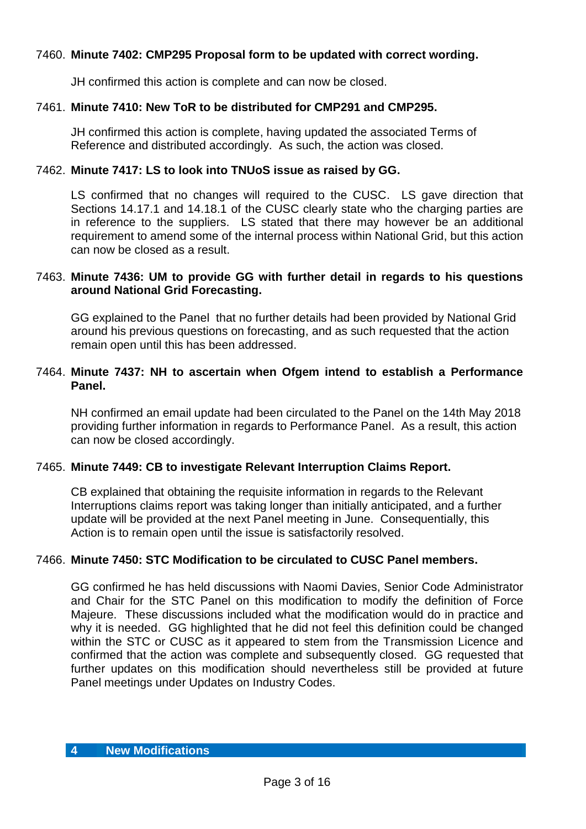# 7460. **Minute 7402: CMP295 Proposal form to be updated with correct wording.**

JH confirmed this action is complete and can now be closed.

# 7461. **Minute 7410: New ToR to be distributed for CMP291 and CMP295.**

JH confirmed this action is complete, having updated the associated Terms of Reference and distributed accordingly. As such, the action was closed.

## 7462. **Minute 7417: LS to look into TNUoS issue as raised by GG.**

LS confirmed that no changes will required to the CUSC. LS gave direction that Sections 14.17.1 and 14.18.1 of the CUSC clearly state who the charging parties are in reference to the suppliers. LS stated that there may however be an additional requirement to amend some of the internal process within National Grid, but this action can now be closed as a result.

#### 7463. **Minute 7436: UM to provide GG with further detail in regards to his questions around National Grid Forecasting.**

GG explained to the Panel that no further details had been provided by National Grid around his previous questions on forecasting, and as such requested that the action remain open until this has been addressed.

## 7464. **Minute 7437: NH to ascertain when Ofgem intend to establish a Performance Panel.**

NH confirmed an email update had been circulated to the Panel on the 14th May 2018 providing further information in regards to Performance Panel. As a result, this action can now be closed accordingly.

## 7465. **Minute 7449: CB to investigate Relevant Interruption Claims Report.**

CB explained that obtaining the requisite information in regards to the Relevant Interruptions claims report was taking longer than initially anticipated, and a further update will be provided at the next Panel meeting in June. Consequentially, this Action is to remain open until the issue is satisfactorily resolved.

## 7466. **Minute 7450: STC Modification to be circulated to CUSC Panel members.**

GG confirmed he has held discussions with Naomi Davies, Senior Code Administrator and Chair for the STC Panel on this modification to modify the definition of Force Majeure. These discussions included what the modification would do in practice and why it is needed. GG highlighted that he did not feel this definition could be changed within the STC or CUSC as it appeared to stem from the Transmission Licence and confirmed that the action was complete and subsequently closed. GG requested that further updates on this modification should nevertheless still be provided at future Panel meetings under Updates on Industry Codes.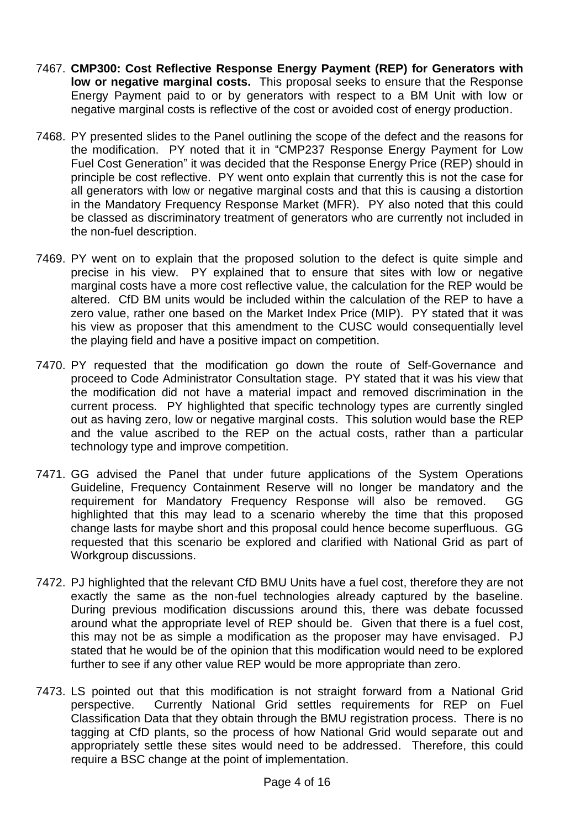- 7467. **CMP300: Cost Reflective Response Energy Payment (REP) for Generators with low or negative marginal costs.** This proposal seeks to ensure that the Response Energy Payment paid to or by generators with respect to a BM Unit with low or negative marginal costs is reflective of the cost or avoided cost of energy production.
- 7468. PY presented slides to the Panel outlining the scope of the defect and the reasons for the modification. PY noted that it in "CMP237 Response Energy Payment for Low Fuel Cost Generation" it was decided that the Response Energy Price (REP) should in principle be cost reflective. PY went onto explain that currently this is not the case for all generators with low or negative marginal costs and that this is causing a distortion in the Mandatory Frequency Response Market (MFR). PY also noted that this could be classed as discriminatory treatment of generators who are currently not included in the non-fuel description.
- 7469. PY went on to explain that the proposed solution to the defect is quite simple and precise in his view. PY explained that to ensure that sites with low or negative marginal costs have a more cost reflective value, the calculation for the REP would be altered. CfD BM units would be included within the calculation of the REP to have a zero value, rather one based on the Market Index Price (MIP). PY stated that it was his view as proposer that this amendment to the CUSC would consequentially level the playing field and have a positive impact on competition.
- 7470. PY requested that the modification go down the route of Self-Governance and proceed to Code Administrator Consultation stage. PY stated that it was his view that the modification did not have a material impact and removed discrimination in the current process. PY highlighted that specific technology types are currently singled out as having zero, low or negative marginal costs. This solution would base the REP and the value ascribed to the REP on the actual costs, rather than a particular technology type and improve competition.
- 7471. GG advised the Panel that under future applications of the System Operations Guideline, Frequency Containment Reserve will no longer be mandatory and the requirement for Mandatory Frequency Response will also be removed. GG highlighted that this may lead to a scenario whereby the time that this proposed change lasts for maybe short and this proposal could hence become superfluous. GG requested that this scenario be explored and clarified with National Grid as part of Workgroup discussions.
- 7472. PJ highlighted that the relevant CfD BMU Units have a fuel cost, therefore they are not exactly the same as the non-fuel technologies already captured by the baseline. During previous modification discussions around this, there was debate focussed around what the appropriate level of REP should be. Given that there is a fuel cost, this may not be as simple a modification as the proposer may have envisaged. PJ stated that he would be of the opinion that this modification would need to be explored further to see if any other value REP would be more appropriate than zero.
- 7473. LS pointed out that this modification is not straight forward from a National Grid perspective. Currently National Grid settles requirements for REP on Fuel Classification Data that they obtain through the BMU registration process. There is no tagging at CfD plants, so the process of how National Grid would separate out and appropriately settle these sites would need to be addressed. Therefore, this could require a BSC change at the point of implementation.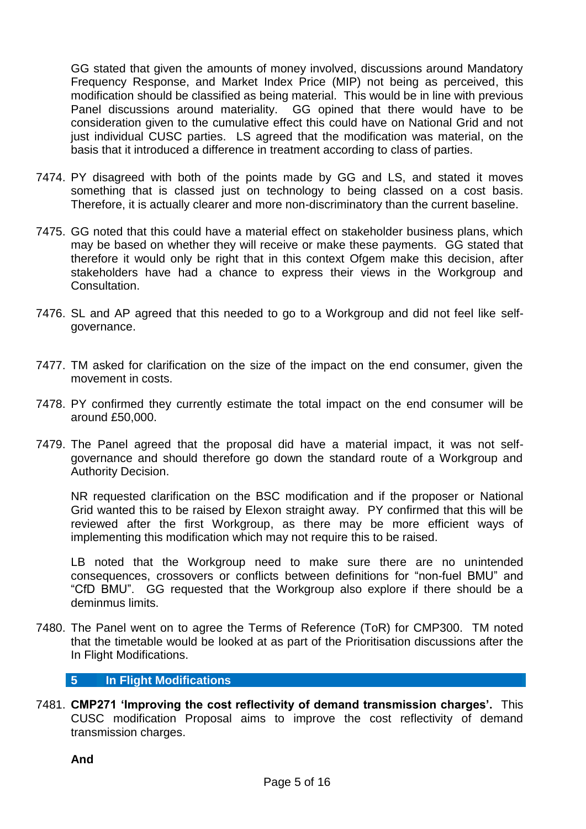GG stated that given the amounts of money involved, discussions around Mandatory Frequency Response, and Market Index Price (MIP) not being as perceived, this modification should be classified as being material. This would be in line with previous Panel discussions around materiality. GG opined that there would have to be consideration given to the cumulative effect this could have on National Grid and not just individual CUSC parties. LS agreed that the modification was material, on the basis that it introduced a difference in treatment according to class of parties.

- 7474. PY disagreed with both of the points made by GG and LS, and stated it moves something that is classed just on technology to being classed on a cost basis. Therefore, it is actually clearer and more non-discriminatory than the current baseline.
- 7475. GG noted that this could have a material effect on stakeholder business plans, which may be based on whether they will receive or make these payments. GG stated that therefore it would only be right that in this context Ofgem make this decision, after stakeholders have had a chance to express their views in the Workgroup and Consultation.
- 7476. SL and AP agreed that this needed to go to a Workgroup and did not feel like selfgovernance.
- 7477. TM asked for clarification on the size of the impact on the end consumer, given the movement in costs.
- 7478. PY confirmed they currently estimate the total impact on the end consumer will be around £50,000.
- 7479. The Panel agreed that the proposal did have a material impact, it was not selfgovernance and should therefore go down the standard route of a Workgroup and Authority Decision.

NR requested clarification on the BSC modification and if the proposer or National Grid wanted this to be raised by Elexon straight away. PY confirmed that this will be reviewed after the first Workgroup, as there may be more efficient ways of implementing this modification which may not require this to be raised.

LB noted that the Workgroup need to make sure there are no unintended consequences, crossovers or conflicts between definitions for "non-fuel BMU" and "CfD BMU". GG requested that the Workgroup also explore if there should be a deminmus limits.

7480. The Panel went on to agree the Terms of Reference (ToR) for CMP300. TM noted that the timetable would be looked at as part of the Prioritisation discussions after the In Flight Modifications.

#### **5 In Flight Modifications**

7481. **CMP271 'Improving the cost reflectivity of demand transmission charges'.** This CUSC modification Proposal aims to improve the cost reflectivity of demand transmission charges.

**And**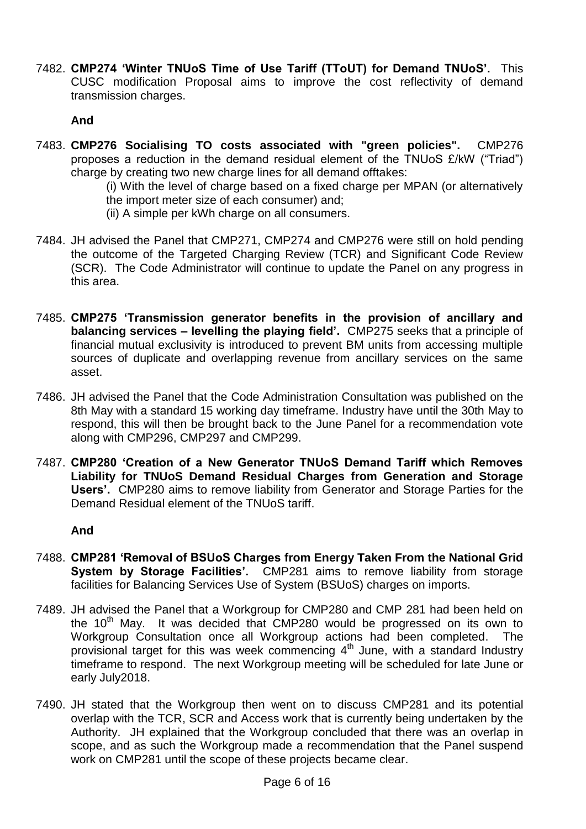7482. **CMP274 'Winter TNUoS Time of Use Tariff (TToUT) for Demand TNUoS'.** This CUSC modification Proposal aims to improve the cost reflectivity of demand transmission charges.

**And**

7483. **CMP276 Socialising TO costs associated with "green policies".** CMP276 proposes a reduction in the demand residual element of the TNUoS £/kW ("Triad") charge by creating two new charge lines for all demand offtakes:

(i) With the level of charge based on a fixed charge per MPAN (or alternatively the import meter size of each consumer) and;

- (ii) A simple per kWh charge on all consumers.
- 7484. JH advised the Panel that CMP271, CMP274 and CMP276 were still on hold pending the outcome of the Targeted Charging Review (TCR) and Significant Code Review (SCR). The Code Administrator will continue to update the Panel on any progress in this area.
- 7485. **CMP275 'Transmission generator benefits in the provision of ancillary and balancing services – levelling the playing field'.** CMP275 seeks that a principle of financial mutual exclusivity is introduced to prevent BM units from accessing multiple sources of duplicate and overlapping revenue from ancillary services on the same asset.
- 7486. JH advised the Panel that the Code Administration Consultation was published on the 8th May with a standard 15 working day timeframe. Industry have until the 30th May to respond, this will then be brought back to the June Panel for a recommendation vote along with CMP296, CMP297 and CMP299.
- 7487. **CMP280 'Creation of a New Generator TNUoS Demand Tariff which Removes Liability for TNUoS Demand Residual Charges from Generation and Storage Users'.** CMP280 aims to remove liability from Generator and Storage Parties for the Demand Residual element of the TNUoS tariff.

## **And**

- 7488. **CMP281 'Removal of BSUoS Charges from Energy Taken From the National Grid System by Storage Facilities'.** CMP281 aims to remove liability from storage facilities for Balancing Services Use of System (BSUoS) charges on imports.
- 7489. JH advised the Panel that a Workgroup for CMP280 and CMP 281 had been held on the  $10<sup>th</sup>$  May. It was decided that CMP280 would be progressed on its own to Workgroup Consultation once all Workgroup actions had been completed. The provisional target for this was week commencing 4<sup>th</sup> June, with a standard Industry timeframe to respond. The next Workgroup meeting will be scheduled for late June or early July2018.
- 7490. JH stated that the Workgroup then went on to discuss CMP281 and its potential overlap with the TCR, SCR and Access work that is currently being undertaken by the Authority. JH explained that the Workgroup concluded that there was an overlap in scope, and as such the Workgroup made a recommendation that the Panel suspend work on CMP281 until the scope of these projects became clear.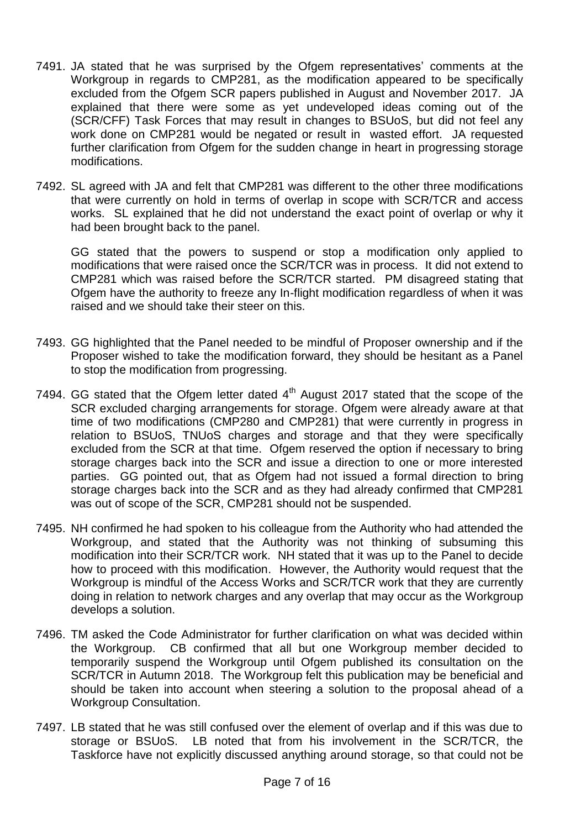- 7491. JA stated that he was surprised by the Ofgem representatives' comments at the Workgroup in regards to CMP281, as the modification appeared to be specifically excluded from the Ofgem SCR papers published in August and November 2017. JA explained that there were some as yet undeveloped ideas coming out of the (SCR/CFF) Task Forces that may result in changes to BSUoS, but did not feel any work done on CMP281 would be negated or result in wasted effort. JA requested further clarification from Ofgem for the sudden change in heart in progressing storage modifications.
- 7492. SL agreed with JA and felt that CMP281 was different to the other three modifications that were currently on hold in terms of overlap in scope with SCR/TCR and access works. SL explained that he did not understand the exact point of overlap or why it had been brought back to the panel.

GG stated that the powers to suspend or stop a modification only applied to modifications that were raised once the SCR/TCR was in process. It did not extend to CMP281 which was raised before the SCR/TCR started. PM disagreed stating that Ofgem have the authority to freeze any In-flight modification regardless of when it was raised and we should take their steer on this.

- 7493. GG highlighted that the Panel needed to be mindful of Proposer ownership and if the Proposer wished to take the modification forward, they should be hesitant as a Panel to stop the modification from progressing.
- 7494. GG stated that the Ofgem letter dated  $4<sup>th</sup>$  August 2017 stated that the scope of the SCR excluded charging arrangements for storage. Ofgem were already aware at that time of two modifications (CMP280 and CMP281) that were currently in progress in relation to BSUoS, TNUoS charges and storage and that they were specifically excluded from the SCR at that time. Ofgem reserved the option if necessary to bring storage charges back into the SCR and issue a direction to one or more interested parties. GG pointed out, that as Ofgem had not issued a formal direction to bring storage charges back into the SCR and as they had already confirmed that CMP281 was out of scope of the SCR, CMP281 should not be suspended.
- 7495. NH confirmed he had spoken to his colleague from the Authority who had attended the Workgroup, and stated that the Authority was not thinking of subsuming this modification into their SCR/TCR work. NH stated that it was up to the Panel to decide how to proceed with this modification. However, the Authority would request that the Workgroup is mindful of the Access Works and SCR/TCR work that they are currently doing in relation to network charges and any overlap that may occur as the Workgroup develops a solution.
- 7496. TM asked the Code Administrator for further clarification on what was decided within the Workgroup. CB confirmed that all but one Workgroup member decided to temporarily suspend the Workgroup until Ofgem published its consultation on the SCR/TCR in Autumn 2018. The Workgroup felt this publication may be beneficial and should be taken into account when steering a solution to the proposal ahead of a Workgroup Consultation.
- 7497. LB stated that he was still confused over the element of overlap and if this was due to storage or BSUoS. LB noted that from his involvement in the SCR/TCR, the Taskforce have not explicitly discussed anything around storage, so that could not be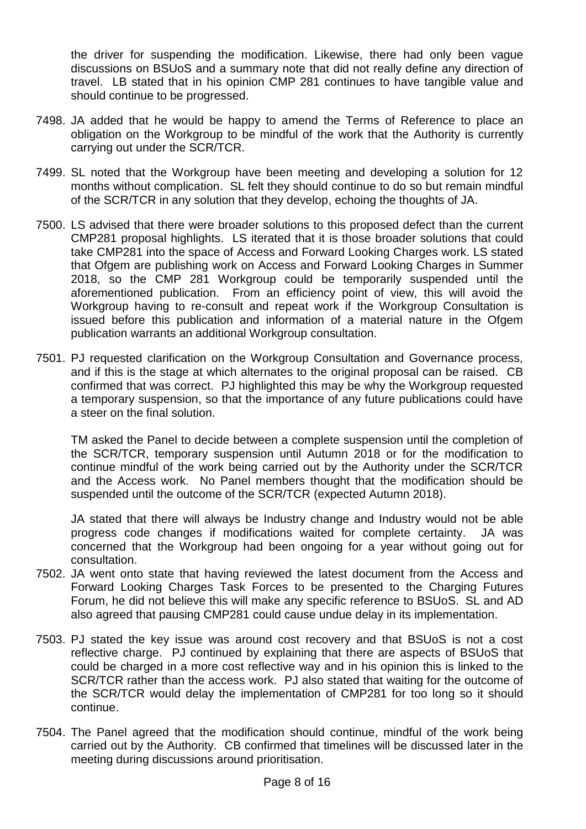the driver for suspending the modification. Likewise, there had only been vague discussions on BSUoS and a summary note that did not really define any direction of travel. LB stated that in his opinion CMP 281 continues to have tangible value and should continue to be progressed.

- 7498. JA added that he would be happy to amend the Terms of Reference to place an obligation on the Workgroup to be mindful of the work that the Authority is currently carrying out under the SCR/TCR.
- 7499. SL noted that the Workgroup have been meeting and developing a solution for 12 months without complication. SL felt they should continue to do so but remain mindful of the SCR/TCR in any solution that they develop, echoing the thoughts of JA.
- 7500. LS advised that there were broader solutions to this proposed defect than the current CMP281 proposal highlights. LS iterated that it is those broader solutions that could take CMP281 into the space of Access and Forward Looking Charges work. LS stated that Ofgem are publishing work on Access and Forward Looking Charges in Summer 2018, so the CMP 281 Workgroup could be temporarily suspended until the aforementioned publication. From an efficiency point of view, this will avoid the Workgroup having to re-consult and repeat work if the Workgroup Consultation is issued before this publication and information of a material nature in the Ofgem publication warrants an additional Workgroup consultation.
- 7501. PJ requested clarification on the Workgroup Consultation and Governance process, and if this is the stage at which alternates to the original proposal can be raised. CB confirmed that was correct. PJ highlighted this may be why the Workgroup requested a temporary suspension, so that the importance of any future publications could have a steer on the final solution.

TM asked the Panel to decide between a complete suspension until the completion of the SCR/TCR, temporary suspension until Autumn 2018 or for the modification to continue mindful of the work being carried out by the Authority under the SCR/TCR and the Access work. No Panel members thought that the modification should be suspended until the outcome of the SCR/TCR (expected Autumn 2018).

JA stated that there will always be Industry change and Industry would not be able progress code changes if modifications waited for complete certainty. JA was concerned that the Workgroup had been ongoing for a year without going out for consultation.

- 7502. JA went onto state that having reviewed the latest document from the Access and Forward Looking Charges Task Forces to be presented to the Charging Futures Forum, he did not believe this will make any specific reference to BSUoS. SL and AD also agreed that pausing CMP281 could cause undue delay in its implementation.
- 7503. PJ stated the key issue was around cost recovery and that BSUoS is not a cost reflective charge. PJ continued by explaining that there are aspects of BSUoS that could be charged in a more cost reflective way and in his opinion this is linked to the SCR/TCR rather than the access work. PJ also stated that waiting for the outcome of the SCR/TCR would delay the implementation of CMP281 for too long so it should continue.
- 7504. The Panel agreed that the modification should continue, mindful of the work being carried out by the Authority. CB confirmed that timelines will be discussed later in the meeting during discussions around prioritisation.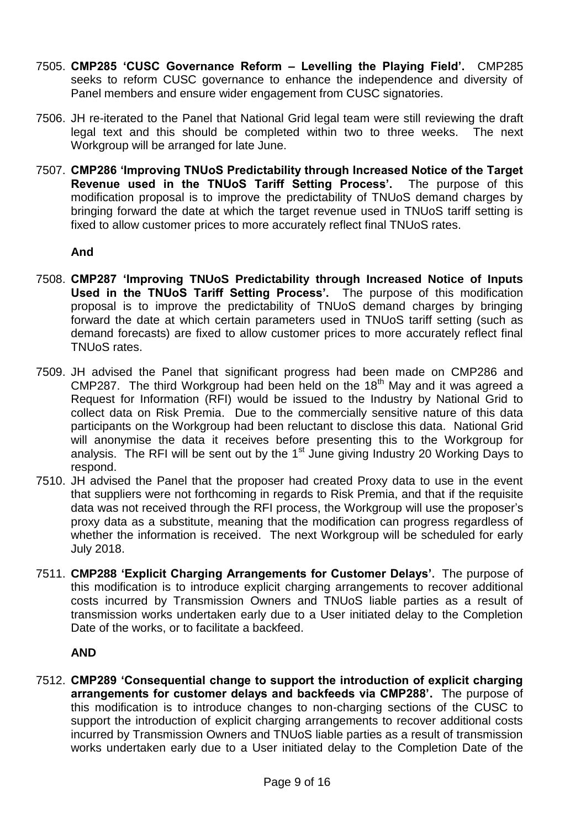- 7505. **CMP285 'CUSC Governance Reform – Levelling the Playing Field'.** CMP285 seeks to reform CUSC governance to enhance the independence and diversity of Panel members and ensure wider engagement from CUSC signatories.
- 7506. JH re-iterated to the Panel that National Grid legal team were still reviewing the draft legal text and this should be completed within two to three weeks. The next Workgroup will be arranged for late June.
- 7507. **CMP286 'Improving TNUoS Predictability through Increased Notice of the Target Revenue used in the TNUoS Tariff Setting Process'.** The purpose of this modification proposal is to improve the predictability of TNUoS demand charges by bringing forward the date at which the target revenue used in TNUoS tariff setting is fixed to allow customer prices to more accurately reflect final TNUoS rates.

## **And**

- 7508. **CMP287 'Improving TNUoS Predictability through Increased Notice of Inputs Used in the TNUoS Tariff Setting Process'.** The purpose of this modification proposal is to improve the predictability of TNUoS demand charges by bringing forward the date at which certain parameters used in TNUoS tariff setting (such as demand forecasts) are fixed to allow customer prices to more accurately reflect final TNUoS rates.
- 7509. JH advised the Panel that significant progress had been made on CMP286 and CMP287. The third Workgroup had been held on the 18<sup>th</sup> May and it was agreed a Request for Information (RFI) would be issued to the Industry by National Grid to collect data on Risk Premia. Due to the commercially sensitive nature of this data participants on the Workgroup had been reluctant to disclose this data. National Grid will anonymise the data it receives before presenting this to the Workgroup for analysis. The RFI will be sent out by the  $1<sup>st</sup>$  June giving Industry 20 Working Days to respond.
- 7510. JH advised the Panel that the proposer had created Proxy data to use in the event that suppliers were not forthcoming in regards to Risk Premia, and that if the requisite data was not received through the RFI process, the Workgroup will use the proposer's proxy data as a substitute, meaning that the modification can progress regardless of whether the information is received. The next Workgroup will be scheduled for early July 2018.
- 7511. **CMP288 'Explicit Charging Arrangements for Customer Delays'.** The purpose of this modification is to introduce explicit charging arrangements to recover additional costs incurred by Transmission Owners and TNUoS liable parties as a result of transmission works undertaken early due to a User initiated delay to the Completion Date of the works, or to facilitate a backfeed.

# **AND**

7512. **CMP289 'Consequential change to support the introduction of explicit charging arrangements for customer delays and backfeeds via CMP288'.** The purpose of this modification is to introduce changes to non-charging sections of the CUSC to support the introduction of explicit charging arrangements to recover additional costs incurred by Transmission Owners and TNUoS liable parties as a result of transmission works undertaken early due to a User initiated delay to the Completion Date of the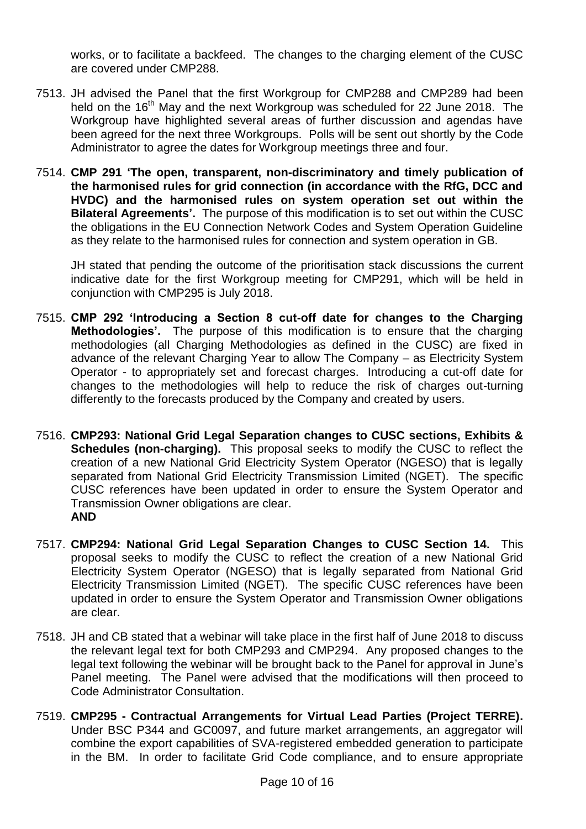works, or to facilitate a backfeed. The changes to the charging element of the CUSC are covered under CMP288.

- 7513. JH advised the Panel that the first Workgroup for CMP288 and CMP289 had been held on the 16<sup>th</sup> May and the next Workgroup was scheduled for 22 June 2018. The Workgroup have highlighted several areas of further discussion and agendas have been agreed for the next three Workgroups. Polls will be sent out shortly by the Code Administrator to agree the dates for Workgroup meetings three and four.
- 7514. **CMP 291 'The open, transparent, non-discriminatory and timely publication of the harmonised rules for grid connection (in accordance with the RfG, DCC and HVDC) and the harmonised rules on system operation set out within the Bilateral Agreements'.** The purpose of this modification is to set out within the CUSC the obligations in the EU Connection Network Codes and System Operation Guideline as they relate to the harmonised rules for connection and system operation in GB.

JH stated that pending the outcome of the prioritisation stack discussions the current indicative date for the first Workgroup meeting for CMP291, which will be held in conjunction with CMP295 is July 2018.

- 7515. **CMP 292 'Introducing a Section 8 cut-off date for changes to the Charging Methodologies'.** The purpose of this modification is to ensure that the charging methodologies (all Charging Methodologies as defined in the CUSC) are fixed in advance of the relevant Charging Year to allow The Company – as Electricity System Operator - to appropriately set and forecast charges. Introducing a cut-off date for changes to the methodologies will help to reduce the risk of charges out-turning differently to the forecasts produced by the Company and created by users.
- 7516. **CMP293: National Grid Legal Separation changes to CUSC sections, Exhibits & Schedules (non-charging).** This proposal seeks to modify the CUSC to reflect the creation of a new National Grid Electricity System Operator (NGESO) that is legally separated from National Grid Electricity Transmission Limited (NGET). The specific CUSC references have been updated in order to ensure the System Operator and Transmission Owner obligations are clear. **AND**
- 7517. **CMP294: National Grid Legal Separation Changes to CUSC Section 14.** This proposal seeks to modify the CUSC to reflect the creation of a new National Grid Electricity System Operator (NGESO) that is legally separated from National Grid Electricity Transmission Limited (NGET). The specific CUSC references have been updated in order to ensure the System Operator and Transmission Owner obligations are clear.
- 7518. JH and CB stated that a webinar will take place in the first half of June 2018 to discuss the relevant legal text for both CMP293 and CMP294. Any proposed changes to the legal text following the webinar will be brought back to the Panel for approval in June's Panel meeting. The Panel were advised that the modifications will then proceed to Code Administrator Consultation.
- 7519. **CMP295 - Contractual Arrangements for Virtual Lead Parties (Project TERRE).** Under BSC P344 and GC0097, and future market arrangements, an aggregator will combine the export capabilities of SVA-registered embedded generation to participate in the BM. In order to facilitate Grid Code compliance, and to ensure appropriate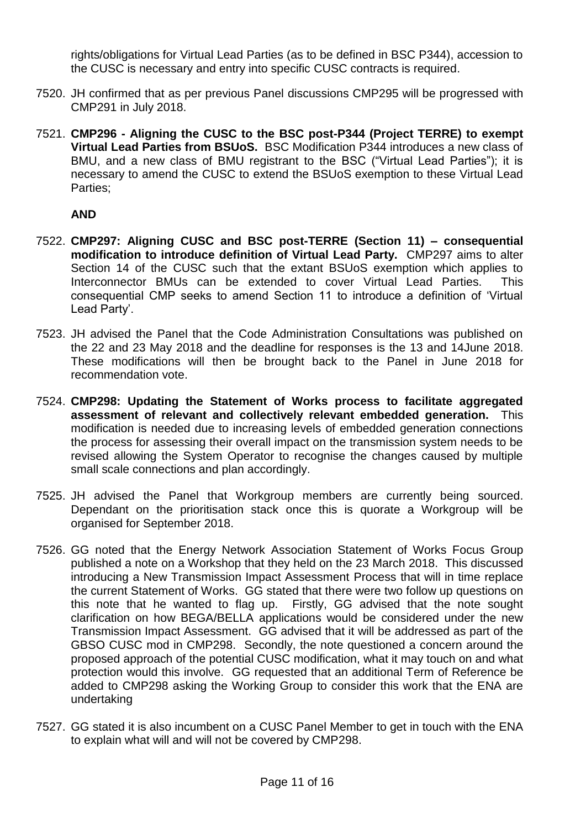rights/obligations for Virtual Lead Parties (as to be defined in BSC P344), accession to the CUSC is necessary and entry into specific CUSC contracts is required.

- 7520. JH confirmed that as per previous Panel discussions CMP295 will be progressed with CMP291 in July 2018.
- 7521. **CMP296 - Aligning the CUSC to the BSC post-P344 (Project TERRE) to exempt Virtual Lead Parties from BSUoS.** BSC Modification P344 introduces a new class of BMU, and a new class of BMU registrant to the BSC ("Virtual Lead Parties"); it is necessary to amend the CUSC to extend the BSUoS exemption to these Virtual Lead Parties;

# **AND**

- 7522. **CMP297: Aligning CUSC and BSC post-TERRE (Section 11) – consequential modification to introduce definition of Virtual Lead Party.** CMP297 aims to alter Section 14 of the CUSC such that the extant BSUoS exemption which applies to Interconnector BMUs can be extended to cover Virtual Lead Parties. This consequential CMP seeks to amend Section 11 to introduce a definition of 'Virtual Lead Party'.
- 7523. JH advised the Panel that the Code Administration Consultations was published on the 22 and 23 May 2018 and the deadline for responses is the 13 and 14June 2018. These modifications will then be brought back to the Panel in June 2018 for recommendation vote.
- 7524. **CMP298: Updating the Statement of Works process to facilitate aggregated assessment of relevant and collectively relevant embedded generation.** This modification is needed due to increasing levels of embedded generation connections the process for assessing their overall impact on the transmission system needs to be revised allowing the System Operator to recognise the changes caused by multiple small scale connections and plan accordingly.
- 7525. JH advised the Panel that Workgroup members are currently being sourced. Dependant on the prioritisation stack once this is quorate a Workgroup will be organised for September 2018.
- 7526. GG noted that the Energy Network Association Statement of Works Focus Group published a note on a Workshop that they held on the 23 March 2018. This discussed introducing a New Transmission Impact Assessment Process that will in time replace the current Statement of Works. GG stated that there were two follow up questions on this note that he wanted to flag up. Firstly, GG advised that the note sought clarification on how BEGA/BELLA applications would be considered under the new Transmission Impact Assessment. GG advised that it will be addressed as part of the GBSO CUSC mod in CMP298. Secondly, the note questioned a concern around the proposed approach of the potential CUSC modification, what it may touch on and what protection would this involve. GG requested that an additional Term of Reference be added to CMP298 asking the Working Group to consider this work that the ENA are undertaking
- 7527. GG stated it is also incumbent on a CUSC Panel Member to get in touch with the ENA to explain what will and will not be covered by CMP298.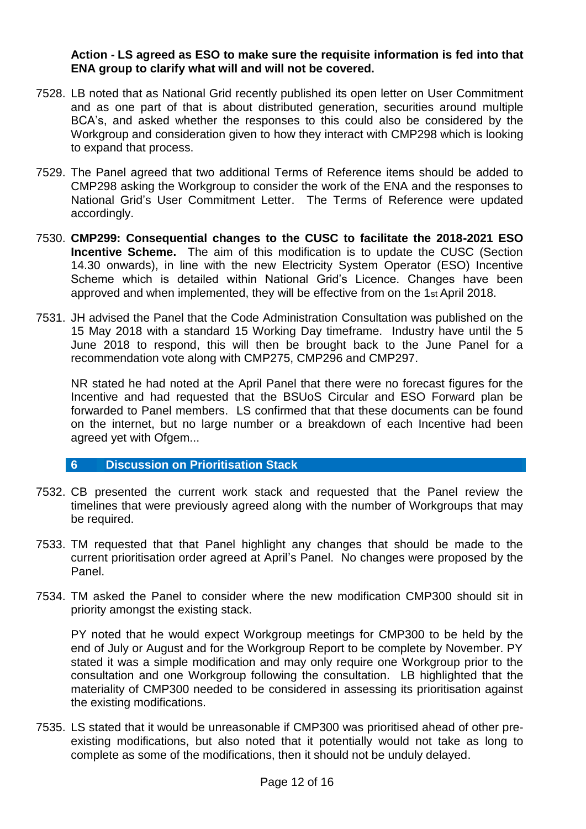**Action - LS agreed as ESO to make sure the requisite information is fed into that ENA group to clarify what will and will not be covered.** 

- 7528. LB noted that as National Grid recently published its open letter on User Commitment and as one part of that is about distributed generation, securities around multiple BCA's, and asked whether the responses to this could also be considered by the Workgroup and consideration given to how they interact with CMP298 which is looking to expand that process.
- 7529. The Panel agreed that two additional Terms of Reference items should be added to CMP298 asking the Workgroup to consider the work of the ENA and the responses to National Grid's User Commitment Letter. The Terms of Reference were updated accordingly.
- 7530. **CMP299: Consequential changes to the CUSC to facilitate the 2018-2021 ESO Incentive Scheme.** The aim of this modification is to update the CUSC (Section 14.30 onwards), in line with the new Electricity System Operator (ESO) Incentive Scheme which is detailed within National Grid's Licence. Changes have been approved and when implemented, they will be effective from on the 1st April 2018.
- 7531. JH advised the Panel that the Code Administration Consultation was published on the 15 May 2018 with a standard 15 Working Day timeframe. Industry have until the 5 June 2018 to respond, this will then be brought back to the June Panel for a recommendation vote along with CMP275, CMP296 and CMP297.

NR stated he had noted at the April Panel that there were no forecast figures for the Incentive and had requested that the BSUoS Circular and ESO Forward plan be forwarded to Panel members. LS confirmed that that these documents can be found on the internet, but no large number or a breakdown of each Incentive had been agreed yet with Ofgem...

#### **6 Discussion on Prioritisation Stack**

- 7532. CB presented the current work stack and requested that the Panel review the timelines that were previously agreed along with the number of Workgroups that may be required.
- 7533. TM requested that that Panel highlight any changes that should be made to the current prioritisation order agreed at April's Panel. No changes were proposed by the Panel.
- 7534. TM asked the Panel to consider where the new modification CMP300 should sit in priority amongst the existing stack.

PY noted that he would expect Workgroup meetings for CMP300 to be held by the end of July or August and for the Workgroup Report to be complete by November. PY stated it was a simple modification and may only require one Workgroup prior to the consultation and one Workgroup following the consultation. LB highlighted that the materiality of CMP300 needed to be considered in assessing its prioritisation against the existing modifications.

7535. LS stated that it would be unreasonable if CMP300 was prioritised ahead of other preexisting modifications, but also noted that it potentially would not take as long to complete as some of the modifications, then it should not be unduly delayed.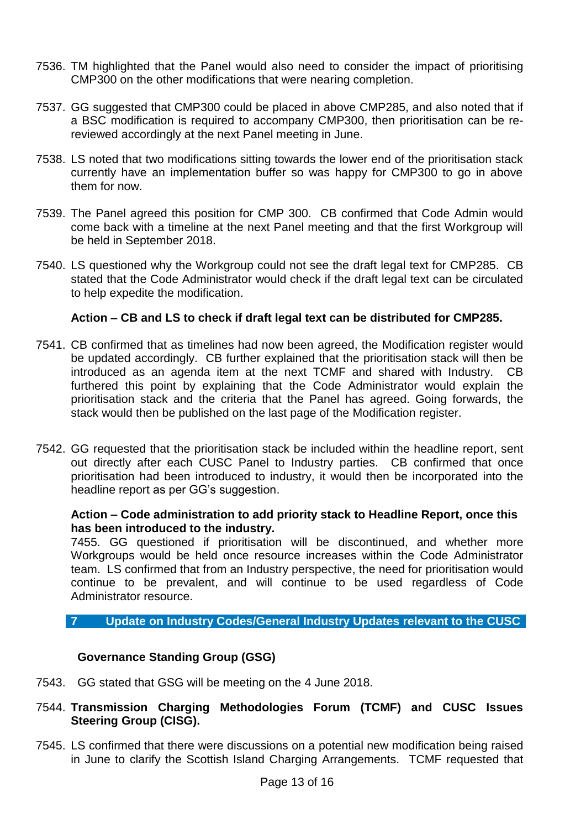- 7536. TM highlighted that the Panel would also need to consider the impact of prioritising CMP300 on the other modifications that were nearing completion.
- 7537. GG suggested that CMP300 could be placed in above CMP285, and also noted that if a BSC modification is required to accompany CMP300, then prioritisation can be rereviewed accordingly at the next Panel meeting in June.
- 7538. LS noted that two modifications sitting towards the lower end of the prioritisation stack currently have an implementation buffer so was happy for CMP300 to go in above them for now.
- 7539. The Panel agreed this position for CMP 300. CB confirmed that Code Admin would come back with a timeline at the next Panel meeting and that the first Workgroup will be held in September 2018.
- 7540. LS questioned why the Workgroup could not see the draft legal text for CMP285. CB stated that the Code Administrator would check if the draft legal text can be circulated to help expedite the modification.

## **Action – CB and LS to check if draft legal text can be distributed for CMP285.**

- 7541. CB confirmed that as timelines had now been agreed, the Modification register would be updated accordingly. CB further explained that the prioritisation stack will then be introduced as an agenda item at the next TCMF and shared with Industry. CB furthered this point by explaining that the Code Administrator would explain the prioritisation stack and the criteria that the Panel has agreed. Going forwards, the stack would then be published on the last page of the Modification register.
- 7542. GG requested that the prioritisation stack be included within the headline report, sent out directly after each CUSC Panel to Industry parties. CB confirmed that once prioritisation had been introduced to industry, it would then be incorporated into the headline report as per GG's suggestion.

## **Action – Code administration to add priority stack to Headline Report, once this has been introduced to the industry.**

7455. GG questioned if prioritisation will be discontinued, and whether more Workgroups would be held once resource increases within the Code Administrator team. LS confirmed that from an Industry perspective, the need for prioritisation would continue to be prevalent, and will continue to be used regardless of Code Administrator resource.

# **7 Update on Industry Codes/General Industry Updates relevant to the CUSC**

# **Governance Standing Group (GSG)**

- 7543. GG stated that GSG will be meeting on the 4 June 2018.
- 7544. **Transmission Charging Methodologies Forum (TCMF) and CUSC Issues Steering Group (CISG).**
- 7545. LS confirmed that there were discussions on a potential new modification being raised in June to clarify the Scottish Island Charging Arrangements. TCMF requested that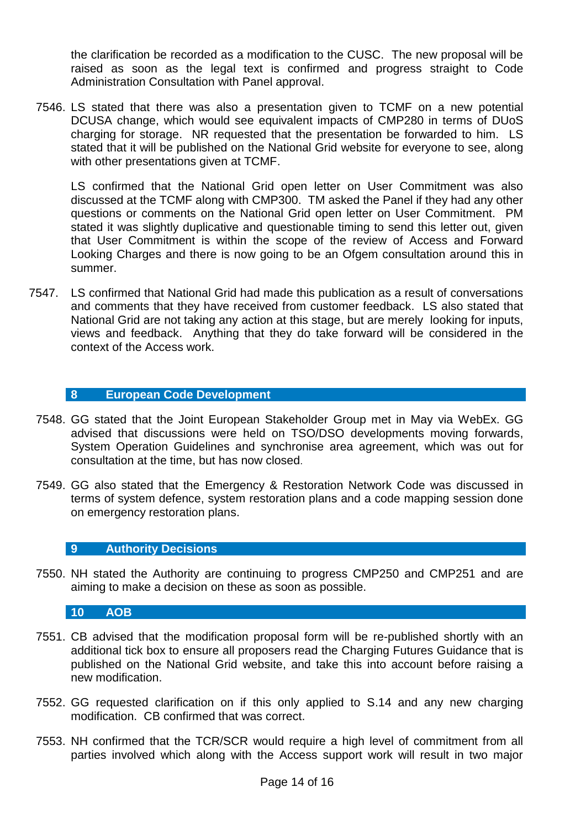the clarification be recorded as a modification to the CUSC. The new proposal will be raised as soon as the legal text is confirmed and progress straight to Code Administration Consultation with Panel approval.

7546. LS stated that there was also a presentation given to TCMF on a new potential DCUSA change, which would see equivalent impacts of CMP280 in terms of DUoS charging for storage. NR requested that the presentation be forwarded to him. LS stated that it will be published on the National Grid website for everyone to see, along with other presentations given at TCMF.

LS confirmed that the National Grid open letter on User Commitment was also discussed at the TCMF along with CMP300. TM asked the Panel if they had any other questions or comments on the National Grid open letter on User Commitment. PM stated it was slightly duplicative and questionable timing to send this letter out, given that User Commitment is within the scope of the review of Access and Forward Looking Charges and there is now going to be an Ofgem consultation around this in summer.

7547. LS confirmed that National Grid had made this publication as a result of conversations and comments that they have received from customer feedback. LS also stated that National Grid are not taking any action at this stage, but are merely looking for inputs, views and feedback. Anything that they do take forward will be considered in the context of the Access work.

# **8 European Code Development**

- 7548. GG stated that the Joint European Stakeholder Group met in May via WebEx. GG advised that discussions were held on TSO/DSO developments moving forwards, System Operation Guidelines and synchronise area agreement, which was out for consultation at the time, but has now closed.
- 7549. GG also stated that the Emergency & Restoration Network Code was discussed in terms of system defence, system restoration plans and a code mapping session done on emergency restoration plans.

#### **9 Authority Decisions**

7550. NH stated the Authority are continuing to progress CMP250 and CMP251 and are aiming to make a decision on these as soon as possible.

#### **10 AOB**

- 7551. CB advised that the modification proposal form will be re-published shortly with an additional tick box to ensure all proposers read the Charging Futures Guidance that is published on the National Grid website, and take this into account before raising a new modification.
- 7552. GG requested clarification on if this only applied to S.14 and any new charging modification. CB confirmed that was correct.
- 7553. NH confirmed that the TCR/SCR would require a high level of commitment from all parties involved which along with the Access support work will result in two major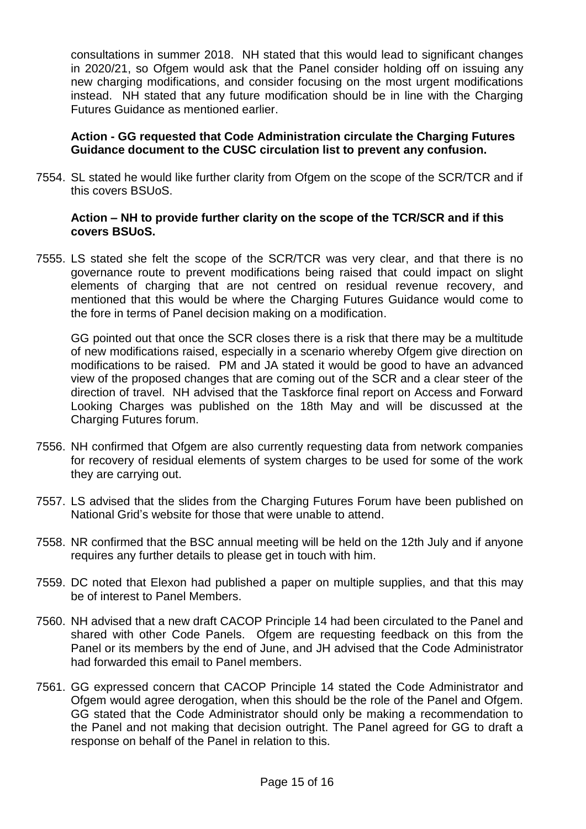consultations in summer 2018. NH stated that this would lead to significant changes in 2020/21, so Ofgem would ask that the Panel consider holding off on issuing any new charging modifications, and consider focusing on the most urgent modifications instead. NH stated that any future modification should be in line with the Charging Futures Guidance as mentioned earlier.

## **Action - GG requested that Code Administration circulate the Charging Futures Guidance document to the CUSC circulation list to prevent any confusion.**

7554. SL stated he would like further clarity from Ofgem on the scope of the SCR/TCR and if this covers BSUoS.

## **Action – NH to provide further clarity on the scope of the TCR/SCR and if this covers BSUoS.**

7555. LS stated she felt the scope of the SCR/TCR was very clear, and that there is no governance route to prevent modifications being raised that could impact on slight elements of charging that are not centred on residual revenue recovery, and mentioned that this would be where the Charging Futures Guidance would come to the fore in terms of Panel decision making on a modification.

GG pointed out that once the SCR closes there is a risk that there may be a multitude of new modifications raised, especially in a scenario whereby Ofgem give direction on modifications to be raised. PM and JA stated it would be good to have an advanced view of the proposed changes that are coming out of the SCR and a clear steer of the direction of travel. NH advised that the Taskforce final report on Access and Forward Looking Charges was published on the 18th May and will be discussed at the Charging Futures forum.

- 7556. NH confirmed that Ofgem are also currently requesting data from network companies for recovery of residual elements of system charges to be used for some of the work they are carrying out.
- 7557. LS advised that the slides from the Charging Futures Forum have been published on National Grid's website for those that were unable to attend.
- 7558. NR confirmed that the BSC annual meeting will be held on the 12th July and if anyone requires any further details to please get in touch with him.
- 7559. DC noted that Elexon had published a paper on multiple supplies, and that this may be of interest to Panel Members.
- 7560. NH advised that a new draft CACOP Principle 14 had been circulated to the Panel and shared with other Code Panels. Ofgem are requesting feedback on this from the Panel or its members by the end of June, and JH advised that the Code Administrator had forwarded this email to Panel members.
- 7561. GG expressed concern that CACOP Principle 14 stated the Code Administrator and Ofgem would agree derogation, when this should be the role of the Panel and Ofgem. GG stated that the Code Administrator should only be making a recommendation to the Panel and not making that decision outright. The Panel agreed for GG to draft a response on behalf of the Panel in relation to this.